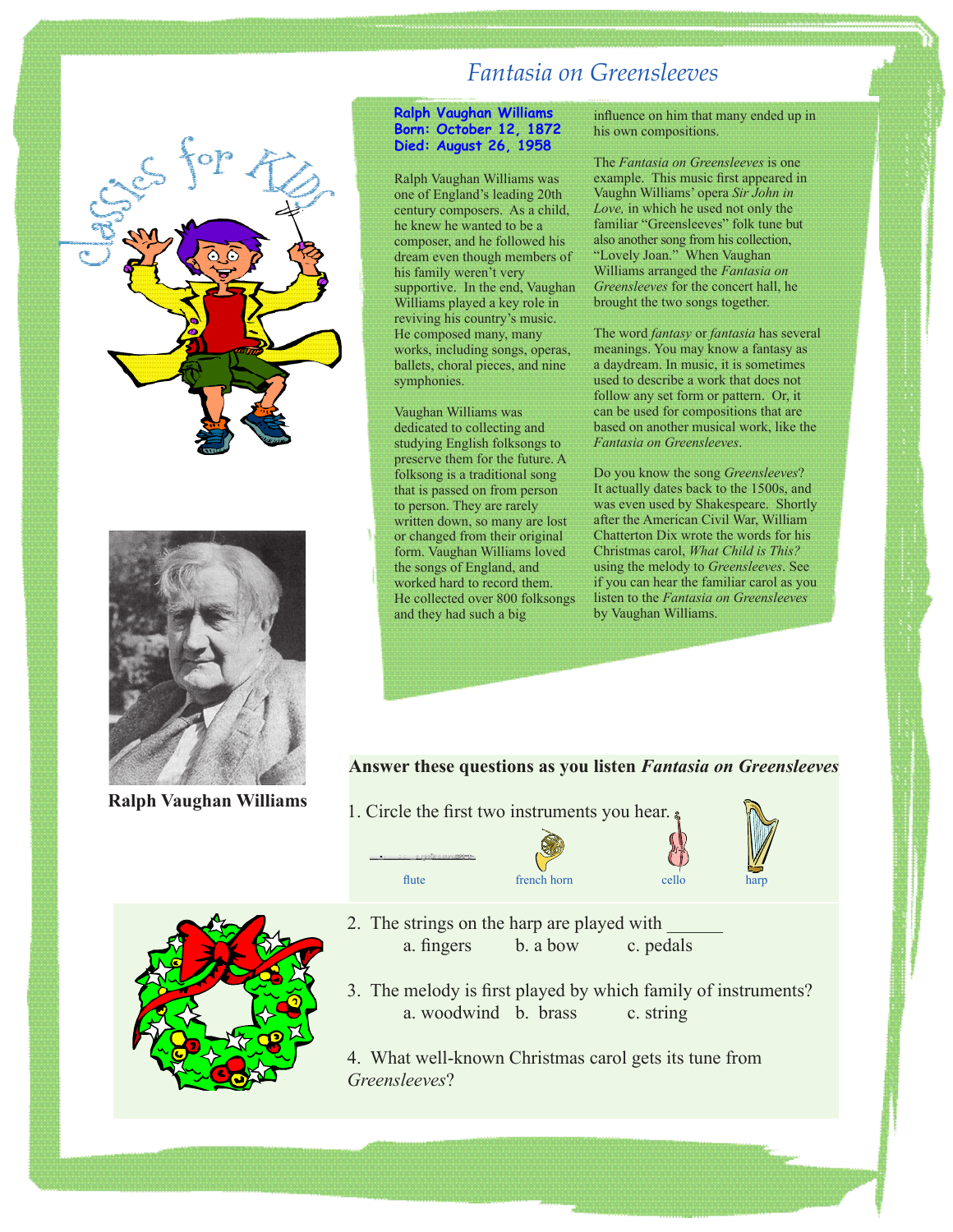



**Ralph Vaughan Williams**

## *Fantasia on Greensleeves*

## **Ralph Vaughan Williams Born: October 12, 1872 Died: August 26, 1958**

Ralph Vaughan Williams was one of England's leading 20th century composers. As a child, he knew he wanted to be a composer, and he followed his dream even though members of his family weren't very supportive. In the end, Vaughan Williams played a key role in reviving his country's music. He composed many, many works, including songs, operas, ballets, choral pieces, and nine symphonies.

Vaughan Williams was dedicated to collecting and studying English folksongs to preserve them for the future. A folksong is a traditional song that is passed on from person to person. They are rarely written down, so many are lost or changed from their original form. Vaughan Williams loved the songs of England, and worked hard to record them. He collected over 800 folksongs and they had such a big

influence on him that many ended up in his own compositions.

The *Fantasia on Greensleeves* is one example. This music first appeared in Vaughn Williams' opera *Sir John in Love,* in which he used not only the familiar "Greensleeves" folk tune but also another song from his collection, "Lovely Joan." When Vaughan Williams arranged the *Fantasia on Greensleeves* for the concert hall, he brought the two songs together.

The word *fantasy* or *fantasia* has several meanings. You may know a fantasy as a daydream. In music, it is sometimes used to describe a work that does not follow any set form or pattern. Or, it can be used for compositions that are based on another musical work, like the *Fantasia on Greensleeves*.

Do you know the song *Greensleeves*? It actually dates back to the 1500s, and was even used by Shakespeare. Shortly after the American Civil War, William Chatterton Dix wrote the words for his Christmas carol, *What Child is This?* using the melody to *Greensleeves*. See if you can hear the familiar carol as you listen to the *Fantasia on Greensleeves*  by Vaughan Williams.

## **Answer these questions as you listen** *Fantasia on Greensleeves*

1. Circle the first two instruments you hear.





- 2. The strings on the harp are played with a. fingers b. a bow c. pedals
- 3. The melody is first played by which family of instruments? a. woodwind b. brass c. string
- 4. What well-known Christmas carol gets its tune from *Greensleeves*?